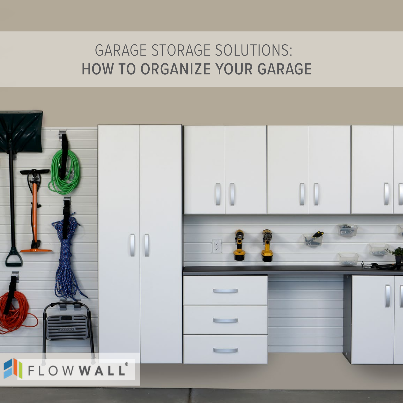# GARAGE STORAGE SOLUTIONS: HOW TO ORGANIZE YOUR GARAGE

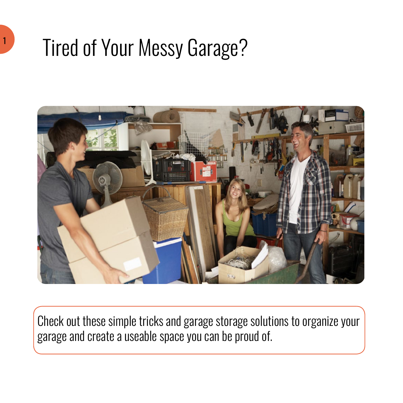# Tired of Your Messy Garage?

1



Check out these simple tricks and garage storage solutions to organize your garage and create a useable space you can be proud of.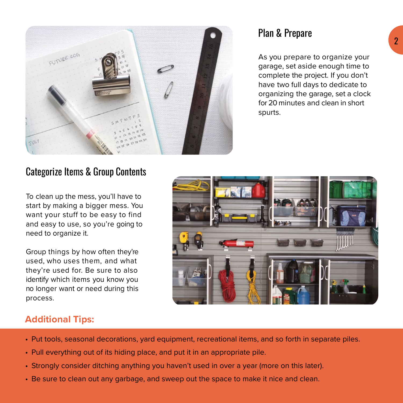

### Plan & Prepare

As you prepare to organize your garage, set aside enough time to complete the project. If you don't have two full days to dedicate to organizing the garage, set a clock for 20 minutes and clean in short spurts.

# Categorize Items & Group Contents

To clean up the mess, you'll have to start by making a bigger mess. You want your stuff to be easy to find and easy to use, so you're going to need to organize it.

Group things by how often they're used, who uses them, and what they're used for. Be sure to also identify which items you know you no longer want or need during this process.



#### **Additional Tips:**

- Put tools, seasonal decorations, yard equipment, recreational items, and so forth in separate piles.
- Pull everything out of its hiding place, and put it in an appropriate pile.
- Strongly consider ditching anything you haven't used in over a year (more on this later).
- Be sure to clean out any garbage, and sweep out the space to make it nice and clean.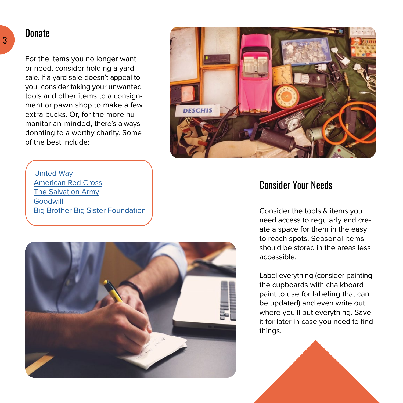#### **Donate**

3

For the items you no longer want or need, consider holding a yard sale. If a yard sale doesn't appeal to you, consider taking your unwanted tools and other items to a consignment or pawn shop to make a few extra bucks. Or, for the more humanitarian-minded, there's always donating to a worthy charity. Some of the best include:



#### [United Way](http://www.unitedway.org) [American Red Cross](http://www.redcross.org/) [The Salvation Army](https://www.salvationarmy.org/) [Goodwill](http://www.goodwill.org/donate-and-shop/donate-stuff/) [Big Brother Big Sister Foundation](https://www.bbbsfoundation.org/)



### Consider Your Needs

Consider the tools & items you need access to regularly and create a space for them in the easy to reach spots. Seasonal items should be stored in the areas less accessible.

Label everything (consider painting the cupboards with chalkboard paint to use for labeling that can be updated) and even write out where you'll put everything. Save it for later in case you need to find things.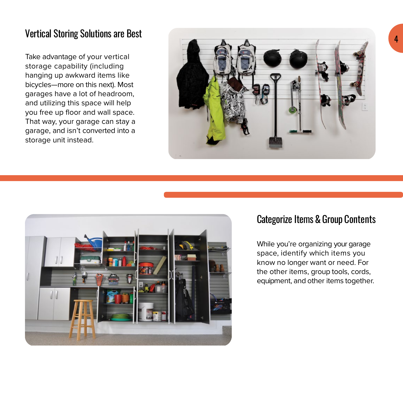# Vertical Storing Solutions are Best

Take advantage of your vertical storage capability (including hanging up awkward items like bicycles—more on this next). Most garages have a lot of headroom, and utilizing this space will help you free up floor and wall space. That way, your garage can stay a garage, and isn't converted into a storage unit instead.





#### Categorize Items & Group Contents

While you're organizing your garage space, identify which items you know no longer want or need. For the other items, group tools, cords, equipment, and other items together.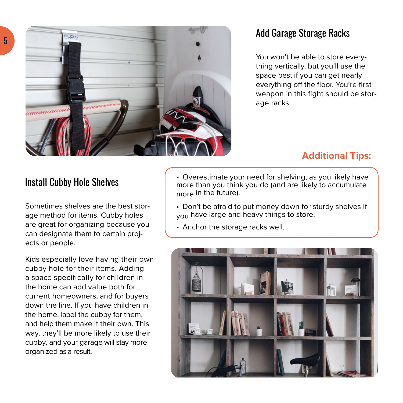

# Add Garage Storage Racks

You won't be able to store everything vertically, but you'll use the space best if you can get nearly everything off the floor. You're first weapon in this fight should be storage racks.

#### **Additional Tips:**

### Install Cubby Hole Shelves

Sometimes shelves are the best storage method for items. Cubby holes are great for organizing because you can designate them to certain projects or people.

Kids especially love having their own cubby hole for their items. Adding a space specifically for children in the home can add value both for current homeowners, and for buyers down the line. If you have children in the home, label the cubby for them, and help them make it their own. This way, they'll be more likely to use their cubby, and your garage will stay more organized as a result.

• Overestimate your need for shelving, as you likely have more than you think you do (and are likely to accumulate more in the future).

• Don't be afraid to put money down for sturdy shelves if you have large and heavy things to store.

• Anchor the storage racks well.

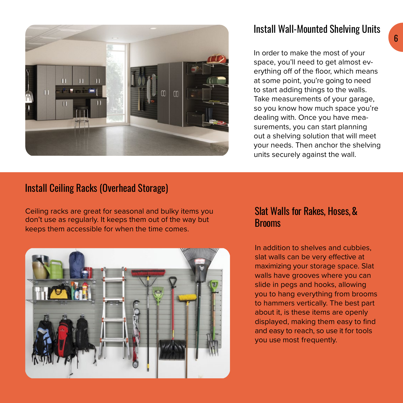

# Install Wall-Mounted Shelving Units

In order to make the most of your space, you'll need to get almost everything off of the floor, which means at some point, you're going to need to start adding things to the walls. Take measurements of your garage, so you know how much space you're dealing with. Once you have measurements, you can start planning out a shelving solution that will meet your needs. Then anchor the shelving units securely against the wall.

#### Install Ceiling Racks (Overhead Storage)

Ceiling racks are great for seasonal and bulky items you don't use as regularly. It keeps them out of the way but keeps them accessible for when the time comes.



#### Slat Walls for Rakes, Hoses, & Brooms

In addition to shelves and cubbies, slat walls can be very effective at maximizing your storage space. Slat walls have grooves where you can slide in pegs and hooks, allowing you to hang everything from brooms to hammers vertically. The best part about it, is these items are openly displayed, making them easy to find and easy to reach, so use it for tools you use most frequently.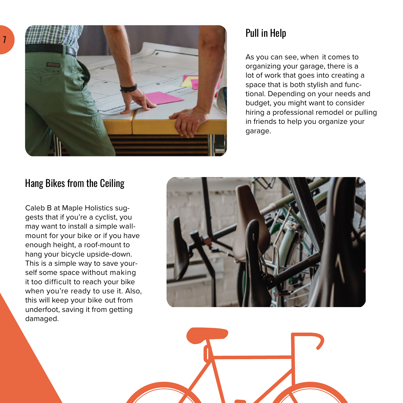

# Pull in Help

As you can see, when it comes to organizing your garage, there is a lot of work that goes into creating a space that is both stylish and functional. Depending on your needs and budget, you might want to consider hiring a professional remodel or pulling in friends to help you organize your garage.

# Hang Bikes from the Ceiling

Caleb B at Maple Holistics suggests that if you're a cyclist, you may want to install a simple wallmount for your bike or if you have enough height, a roof-mount to hang your bicycle upside-down. This is a simple way to save yourself some space without making it too difficult to reach your bike when you're ready to use it. Also, this will keep your bike out from underfoot, saving it from getting damaged.